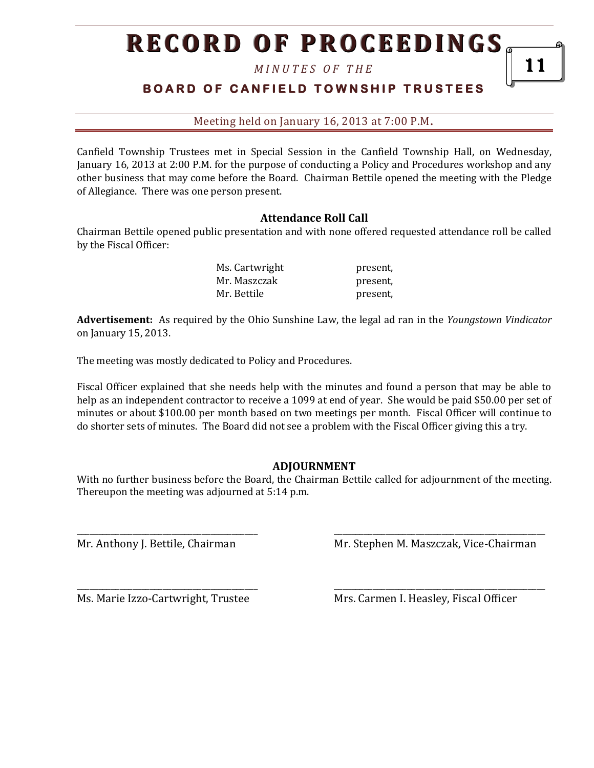# **RECORD OF PROCEEDINGS**

*M I N U T E S O F T H E* 

### **B O A R D O F C A N F I E L D T O W N S H I P T R U S T E E S**

Meeting held on January 16, 2013 at 7:00 P.M**.**

Canfield Township Trustees met in Special Session in the Canfield Township Hall, on Wednesday, January 16, 2013 at 2:00 P.M. for the purpose of conducting a Policy and Procedures workshop and any other business that may come before the Board. Chairman Bettile opened the meeting with the Pledge of Allegiance. There was one person present.

#### **Attendance Roll Call**

Chairman Bettile opened public presentation and with none offered requested attendance roll be called by the Fiscal Officer:

| Ms. Cartwright | present, |
|----------------|----------|
| Mr. Maszczak   | present, |
| Mr. Bettile    | present, |

**Advertisement:** As required by the Ohio Sunshine Law, the legal ad ran in the *Youngstown Vindicator* on January 15, 2013.

The meeting was mostly dedicated to Policy and Procedures.

Fiscal Officer explained that she needs help with the minutes and found a person that may be able to help as an independent contractor to receive a 1099 at end of year. She would be paid \$50.00 per set of minutes or about \$100.00 per month based on two meetings per month. Fiscal Officer will continue to do shorter sets of minutes. The Board did not see a problem with the Fiscal Officer giving this a try.

#### **ADJOURNMENT**

With no further business before the Board, the Chairman Bettile called for adjournment of the meeting. Thereupon the meeting was adjourned at 5:14 p.m.

\_\_\_\_\_\_\_\_\_\_\_\_\_\_\_\_\_\_\_\_\_\_\_\_\_\_\_\_\_\_\_\_\_\_\_\_\_\_\_\_\_\_ \_\_\_\_\_\_\_\_\_\_\_\_\_\_\_\_\_\_\_\_\_\_\_\_\_\_\_\_\_\_\_\_\_\_\_\_\_\_\_\_\_\_\_\_\_\_\_\_\_

\_\_\_\_\_\_\_\_\_\_\_\_\_\_\_\_\_\_\_\_\_\_\_\_\_\_\_\_\_\_\_\_\_\_\_\_\_\_\_\_\_\_ \_\_\_\_\_\_\_\_\_\_\_\_\_\_\_\_\_\_\_\_\_\_\_\_\_\_\_\_\_\_\_\_\_\_\_\_\_\_\_\_\_\_\_\_\_\_\_\_\_

Mr. Anthony J. Bettile, Chairman Mr. Stephen M. Maszczak, Vice-Chairman

Ms. Marie Izzo-Cartwright, Trustee Mrs. Carmen I. Heasley, Fiscal Officer

11